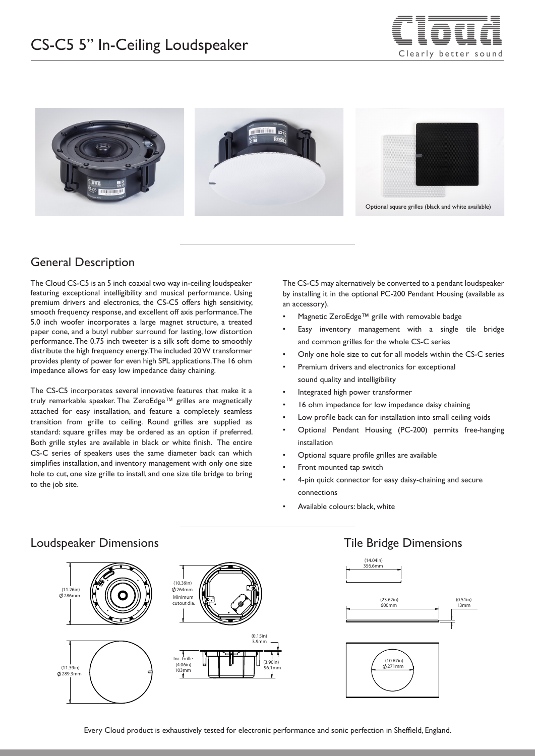



# General Description

The Cloud CS-C5 is an 5 inch coaxial two way in-ceiling loudspeaker featuring exceptional intelligibility and musical performance. Using premium drivers and electronics, the CS-C5 offers high sensitivity, smooth frequency response, and excellent off axis performance. The 5.0 inch woofer incorporates a large magnet structure, a treated paper cone, and a butyl rubber surround for lasting, low distortion performance. The 0.75 inch tweeter is a silk soft dome to smoothly distribute the high frequency energy. The included 20 W transformer provides plenty of power for even high SPL applications. The 16 ohm impedance allows for easy low impedance daisy chaining.

The CS-C5 incorporates several innovative features that make it a truly remarkable speaker. The ZeroEdge™ grilles are magnetically attached for easy installation, and feature a completely seamless transition from grille to ceiling. Round grilles are supplied as standard: square grilles may be ordered as an option if preferred. Both grille styles are available in black or white finish. The entire CS-C series of speakers uses the same diameter back can which simplifies installation, and inventory management with only one size hole to cut, one size grille to install, and one size tile bridge to bring to the job site.

The CS-C5 may alternatively be converted to a pendant loudspeaker by installing it in the optional PC-200 Pendant Housing (available as an accessory).

- Magnetic ZeroEdge™ grille with removable badge
- Easy inventory management with a single tile bridge and common grilles for the whole CS-C series
- Only one hole size to cut for all models within the CS-C series
- Premium drivers and electronics for exceptional sound quality and intelligibility
- Integrated high power transformer
- 16 ohm impedance for low impedance daisy chaining
- Low profile back can for installation into small ceiling voids
- Optional Pendant Housing (PC-200) permits free-hanging installation
- Optional square profile grilles are available
- Front mounted tap switch
- 4-pin quick connector for easy daisy-chaining and secure connections
- Available colours: black, white



#### Loudspeaker Dimensions Tile Bridge Dimensions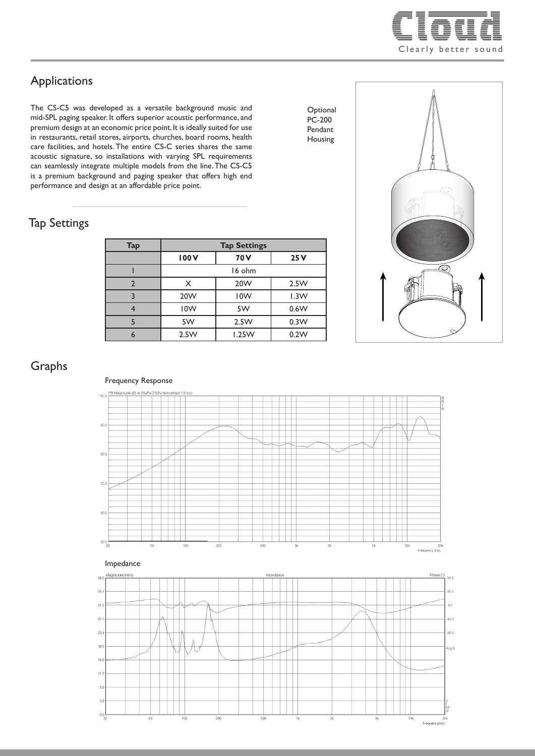

# Applications

The CS-C5 was developed as a versatile background music and mid-SPL paging speaker. It offers superior acoustic performance, and premium design at an economic price point. It is ideally suited for use in restaurants, retail stores, airports, churches, board rooms, health care facilities, and hotels. The entire CS-C series shares the same acoustic signature, so installations with varying SPL requirements can seamlessly integrate multiple models from the line. The CS-C5 is a premium background and paging speaker that offers high end performance and design at an affordable price point.

### Tap Settings

| <b>Tap</b> | <b>Tap Settings</b> |                 |      |
|------------|---------------------|-----------------|------|
|            | 100V                | 70 <sub>V</sub> | 25V  |
|            | 16 ohm              |                 |      |
| っ          | X                   | 20 <sub>W</sub> | 2.5W |
|            | 20 <sub>W</sub>     | <b>IOW</b>      | 1.3W |
|            | 10W                 | 5W              | 0.6W |
|            | 5W                  | 2.5W            | 0.3W |
|            | 2.5W                | 1.25W           | 0.2W |



**Optional** PC-200 Pendant Housing

# Graphs



Frequency Response